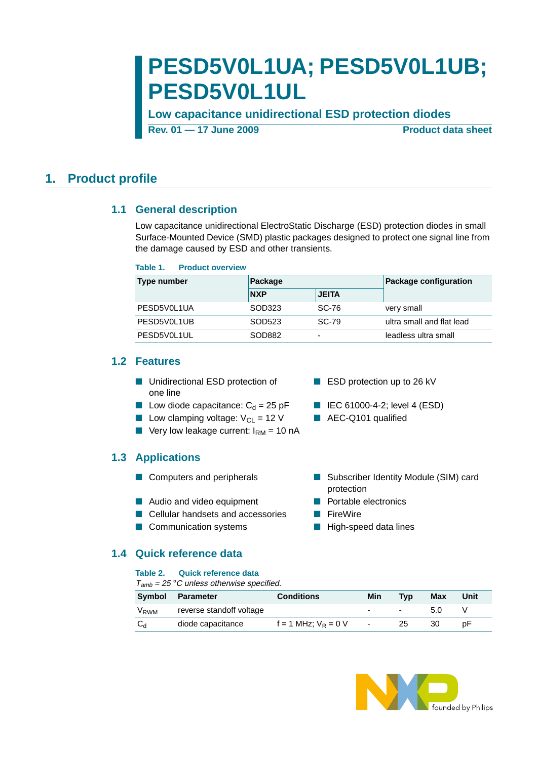# **PESD5V0L1UA; PESD5V0L1UB; PESD5V0L1UL**

**Low capacitance unidirectional ESD protection diodes**

**Rev. 01 – 17 June 2009 Product data sheet** 

### <span id="page-0-1"></span><span id="page-0-0"></span>**1. Product profile**

### **1.1 General description**

Low capacitance unidirectional ElectroStatic Discharge (ESD) protection diodes in small Surface-Mounted Device (SMD) plastic packages designed to protect one signal line from the damage caused by ESD and other transients.

#### **Table 1. Product overview**

| Type number | Package    |              | Package configuration     |
|-------------|------------|--------------|---------------------------|
|             | <b>NXP</b> | <b>JEITA</b> |                           |
| PESD5V0L1UA | SOD323     | SC-76        | very small                |
| PESD5V0L1UB | SOD523     | SC-79        | ultra small and flat lead |
| PESD5V0L1UL | SOD882     | ۰            | leadless ultra small      |

### <span id="page-0-2"></span>**1.2 Features**

- Unidirectional ESD protection of one line
- Low diode capacitance:  $C_d = 25$  pF IEC 61000-4-2; level 4 (ESD)
- Low clamping voltage:  $V_{CL} = 12$  V AEC-Q101 qualified
- **U** Very low leakage current:  $I_{\text{RM}} = 10 \text{ nA}$

### <span id="page-0-3"></span>**1.3 Applications**

- 
- Audio and video equipment Portable electronics
- Cellular handsets and accessories FireWire
- Communication systems High-speed data lines

### <span id="page-0-4"></span>**1.4 Quick reference data**

#### **Table 2. Quick reference data**

 $T_{amb}$  = 25 °C unless otherwise specified.

| <b>Symbol</b>    | <b>Parameter</b>         | <b>Conditions</b>        | Min    | <b>Tvp</b>    | Max | Unit |
|------------------|--------------------------|--------------------------|--------|---------------|-----|------|
| V <sub>RWM</sub> | reverse standoff voltage |                          | $\sim$ | $\sim$ $\sim$ | 5.0 |      |
| $C_{d}$          | diode capacitance        | $f = 1$ MHz; $V_R = 0$ V | $\sim$ | 25            | 30  | рF   |



# ■ ESD protection up to 26 kV

- 
- 
- Computers and peripherals Subscriber Identity Module (SIM) card protection
	-
	-
	-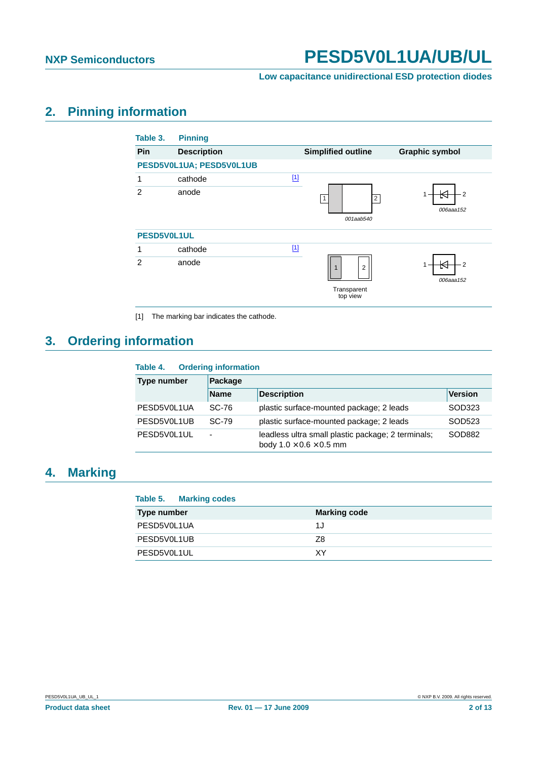#### **Low capacitance unidirectional ESD protection diodes**

# <span id="page-1-1"></span>**2. Pinning information**

| Table 3.       | <b>Pinning</b>           |                                                           |                       |
|----------------|--------------------------|-----------------------------------------------------------|-----------------------|
| Pin            | <b>Description</b>       | <b>Simplified outline</b>                                 | <b>Graphic symbol</b> |
|                | PESD5V0L1UA; PESD5V0L1UB |                                                           |                       |
| 1              | cathode                  | $[1]$                                                     |                       |
| $\overline{2}$ | anode                    | $\overline{2}$<br>001aab540                               | $-2$<br>006aaa152     |
| PESD5V0L1UL    |                          |                                                           |                       |
| 1              | cathode                  | $[1]$                                                     |                       |
| $\mathfrak{p}$ | anode                    | $\overline{2}$<br>$\mathbf{1}$<br>Transparent<br>top view | $-2$<br>006aaa152     |

<span id="page-1-0"></span>[1] The marking bar indicates the cathode.

# <span id="page-1-2"></span>**3. Ordering information**

| Table 4.           | <b>Ordering information</b> |                                                                                           |                |  |  |  |  |
|--------------------|-----------------------------|-------------------------------------------------------------------------------------------|----------------|--|--|--|--|
| <b>Type number</b> | Package                     |                                                                                           |                |  |  |  |  |
|                    | <b>Name</b>                 | <b>Description</b>                                                                        | <b>Version</b> |  |  |  |  |
| PESD5V0L1UA        | SC-76                       | plastic surface-mounted package; 2 leads                                                  | SOD323         |  |  |  |  |
| PESD5V0L1UB        | SC-79                       | plastic surface-mounted package; 2 leads                                                  | SOD523         |  |  |  |  |
| PESD5V0L1UL        | ۰                           | leadless ultra small plastic package; 2 terminals;<br>body $1.0 \times 0.6 \times 0.5$ mm | SOD882         |  |  |  |  |

# <span id="page-1-3"></span>**4. Marking**

### **Table 5. Marking codes**

| <b>Type number</b> | <b>Marking code</b> |
|--------------------|---------------------|
| PESD5V0L1UA        | 1J                  |
| PESD5V0L1UB        | Z8                  |
| PESD5V0L1UL        | ΧY                  |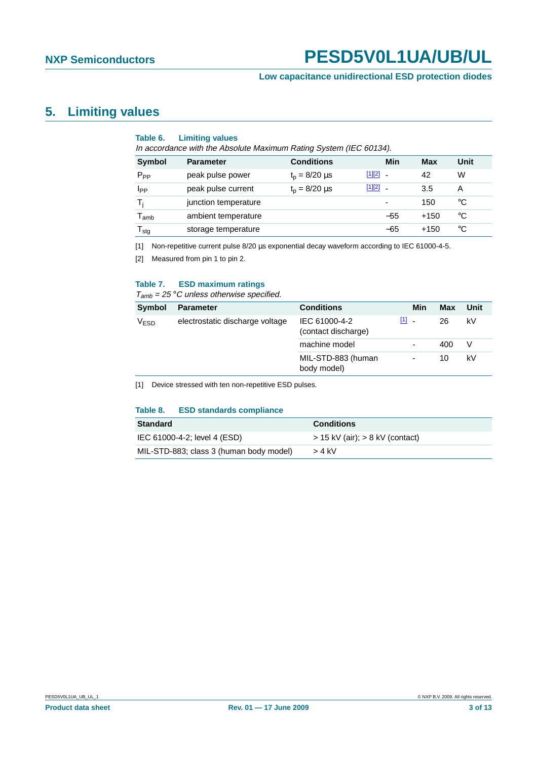#### **Low capacitance unidirectional ESD protection diodes**

### <span id="page-2-3"></span>**5. Limiting values**

#### **Table 6. Limiting values**

In accordance with the Absolute Maximum Rating System (IEC 60134).

| <b>Symbol</b>               | <b>Parameter</b>     | <b>Conditions</b>  |              | Min                      | Max    | Unit |
|-----------------------------|----------------------|--------------------|--------------|--------------------------|--------|------|
| $P_{PP}$                    | peak pulse power     | $t_p = 8/20 \mu s$ | [1][2]       | $\overline{\phantom{a}}$ | 42     | W    |
| I <sub>PP</sub>             | peak pulse current   | $t_p = 8/20 \mu s$ | $[1][2]$ $-$ |                          | 3.5    | А    |
| T,                          | junction temperature |                    |              | $\overline{\phantom{0}}$ | 150    | °C   |
| $\mathsf{T}_{\mathsf{amb}}$ | ambient temperature  |                    |              | $-55$                    | $+150$ | °C   |
| $\mathsf{T}_{\textsf{stg}}$ | storage temperature  |                    |              | $-65$                    | $+150$ | °C   |

<span id="page-2-0"></span>[1] Non-repetitive current pulse 8/20 µs exponential decay waveform according to IEC 61000-4-5.

<span id="page-2-1"></span>[2] Measured from pin 1 to pin 2.

#### **Table 7. ESD maximum ratings**

 $T_{amb}$  = 25 °C unless otherwise specified.

| Symbol           | <b>Parameter</b>                | <b>Conditions</b>                    |         | Min | <b>Max</b> | Unit |
|------------------|---------------------------------|--------------------------------------|---------|-----|------------|------|
| V <sub>ESD</sub> | electrostatic discharge voltage | IEC 61000-4-2<br>(contact discharge) | $[1]$ . |     | 26         | k٧   |
|                  |                                 | machine model                        |         | ٠   | 400        | V    |
|                  |                                 | MIL-STD-883 (human<br>body model)    |         | ٠   | 10         | kV   |

<span id="page-2-2"></span>[1] Device stressed with ten non-repetitive ESD pulses.

#### **Table 8. ESD standards compliance**

| <b>Standard</b>                         | <b>Conditions</b>                   |
|-----------------------------------------|-------------------------------------|
| IEC 61000-4-2; level 4 (ESD)            | $>$ 15 kV (air); $>$ 8 kV (contact) |
| MIL-STD-883; class 3 (human body model) | > 4 kV                              |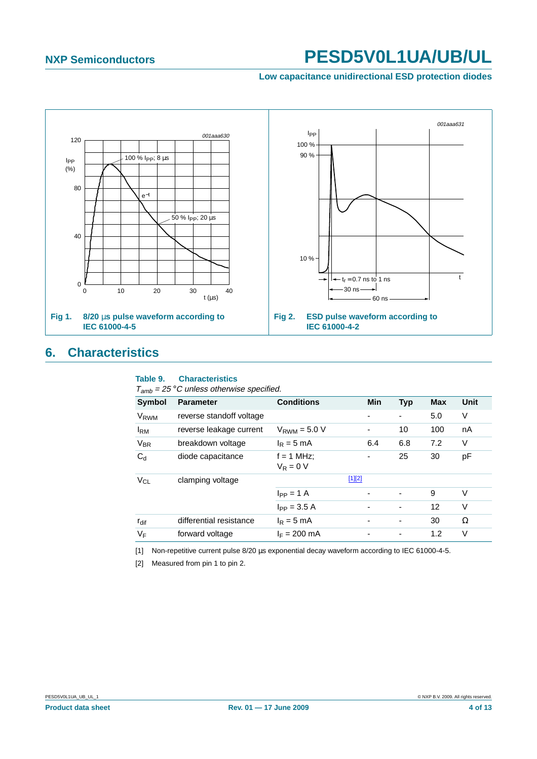**Low capacitance unidirectional ESD protection diodes**



## <span id="page-3-2"></span>**6. Characteristics**

#### **Table 9. Characteristics**

 $T_{amb}$  = 25 °C unless otherwise specified.

| anno             |                          |                             |                          |                |            |      |
|------------------|--------------------------|-----------------------------|--------------------------|----------------|------------|------|
| Symbol           | <b>Parameter</b>         | <b>Conditions</b>           | Min                      | <b>Typ</b>     | <b>Max</b> | Unit |
| V <sub>RWM</sub> | reverse standoff voltage |                             |                          | ٠              | 5.0        | V    |
| $I_{\rm RM}$     | reverse leakage current  | $V_{RWM}$ = 5.0 V           | -                        | 10             | 100        | nA   |
| $V_{BR}$         | breakdown voltage        | $I_R = 5$ mA                | 6.4                      | 6.8            | 7.2        | V    |
| $C_{d}$          | diode capacitance        | $f = 1$ MHz;<br>$V_R = 0 V$ |                          | 25             | 30         | рF   |
| V <sub>CL</sub>  | clamping voltage         |                             | $[1][2]$                 |                |            |      |
|                  |                          | $I_{PP} = 1 A$              |                          |                | 9          | V    |
|                  |                          | $I_{PP} = 3.5 A$            |                          | $\blacksquare$ | 12         | V    |
| $r_{\text{dif}}$ | differential resistance  | $I_R = 5$ mA                | $\overline{\phantom{a}}$ | ٠              | 30         | Ω    |
| VF               | forward voltage          | $I_F = 200$ mA              |                          |                | 1.2        | V    |
|                  |                          |                             |                          |                |            |      |

<span id="page-3-0"></span>[1] Non-repetitive current pulse 8/20 µs exponential decay waveform according to IEC 61000-4-5.

<span id="page-3-1"></span>[2] Measured from pin 1 to pin 2.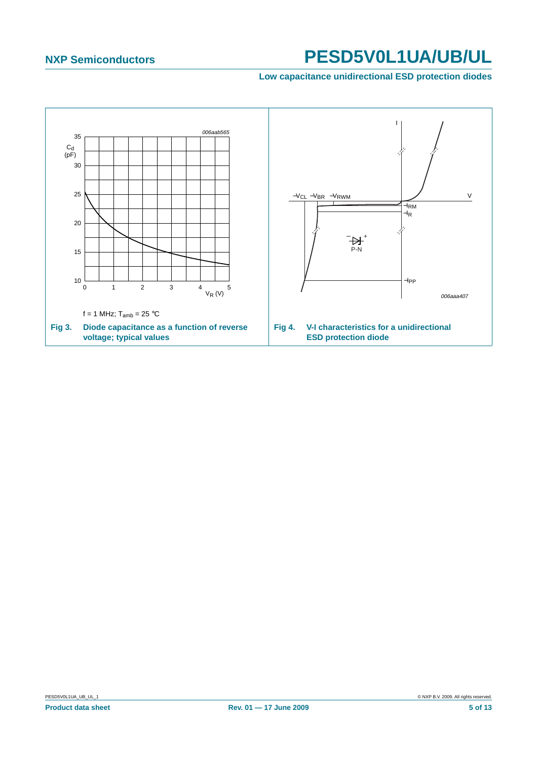**Low capacitance unidirectional ESD protection diodes**

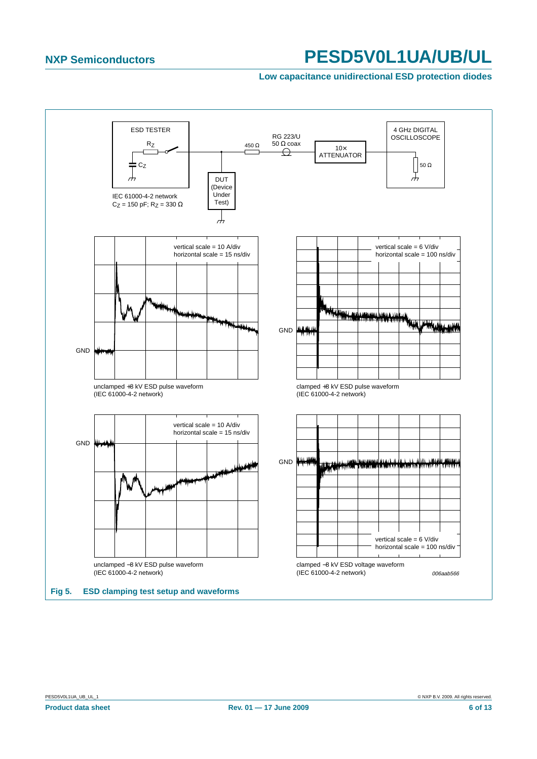#### **Low capacitance unidirectional ESD protection diodes**

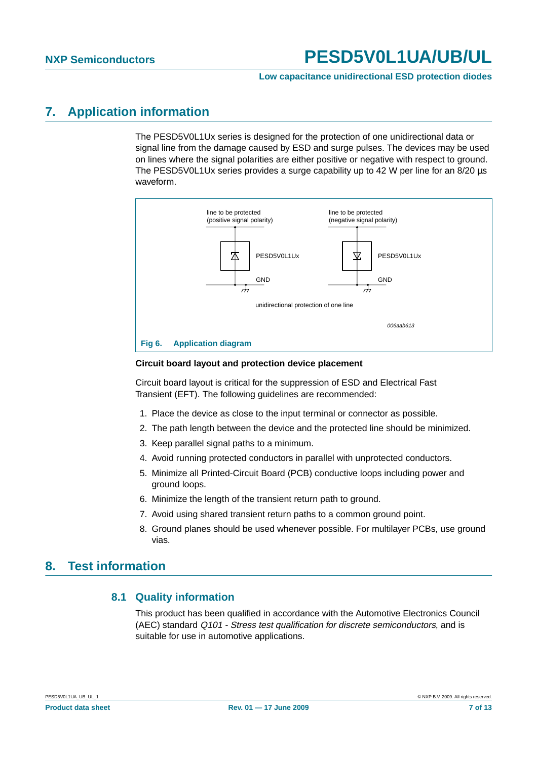#### **Low capacitance unidirectional ESD protection diodes**

### <span id="page-6-0"></span>**7. Application information**

The PESD5V0L1Ux series is designed for the protection of one unidirectional data or signal line from the damage caused by ESD and surge pulses. The devices may be used on lines where the signal polarities are either positive or negative with respect to ground. The PESD5V0L1Ux series provides a surge capability up to 42 W per line for an 8/20  $\mu$ s waveform.



#### **Circuit board layout and protection device placement**

Circuit board layout is critical for the suppression of ESD and Electrical Fast Transient (EFT). The following guidelines are recommended:

- 1. Place the device as close to the input terminal or connector as possible.
- 2. The path length between the device and the protected line should be minimized.
- 3. Keep parallel signal paths to a minimum.
- 4. Avoid running protected conductors in parallel with unprotected conductors.
- 5. Minimize all Printed-Circuit Board (PCB) conductive loops including power and ground loops.
- 6. Minimize the length of the transient return path to ground.
- 7. Avoid using shared transient return paths to a common ground point.
- 8. Ground planes should be used whenever possible. For multilayer PCBs, use ground vias.

### <span id="page-6-2"></span><span id="page-6-1"></span>**8. Test information**

### **8.1 Quality information**

This product has been qualified in accordance with the Automotive Electronics Council (AEC) standard Q101 - Stress test qualification for discrete semiconductors, and is suitable for use in automotive applications.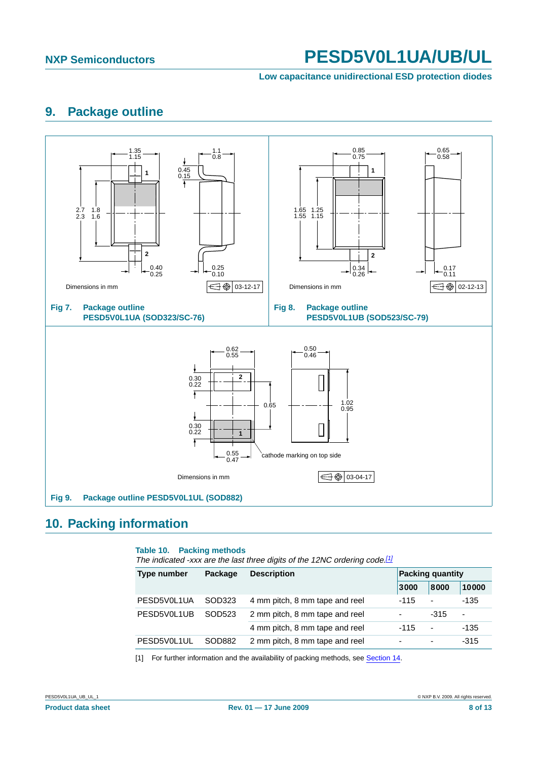**Low capacitance unidirectional ESD protection diodes**

# <span id="page-7-1"></span>**9. Package outline**



# <span id="page-7-2"></span>**10. Packing information**

#### **Table 10. Packing methods**

The indicated -xxx are the last three digits of the 12NC ordering code.<sup>[\[1\]](#page-7-0)</sup>

| Type number | Package | <b>Description</b>             | <b>Packing quantity</b>  |                |                          |
|-------------|---------|--------------------------------|--------------------------|----------------|--------------------------|
|             |         |                                | 3000                     | 8000           | 10000                    |
| PESD5V0L1UA | SOD323  | 4 mm pitch, 8 mm tape and reel | $-115$                   | $\blacksquare$ | $-135$                   |
| PESD5V0L1UB | SOD523  | 2 mm pitch, 8 mm tape and reel | $\overline{\phantom{a}}$ | $-315$         | $\overline{\phantom{0}}$ |
|             |         | 4 mm pitch, 8 mm tape and reel | $-115$                   | $\blacksquare$ | $-135$                   |
| PESD5V0L1UL | SOD882  | 2 mm pitch, 8 mm tape and reel |                          | ۰              | $-315$                   |
|             |         |                                |                          |                |                          |

<span id="page-7-0"></span>[1] For further information and the availability of packing methods, see [Section](#page-11-0) 14.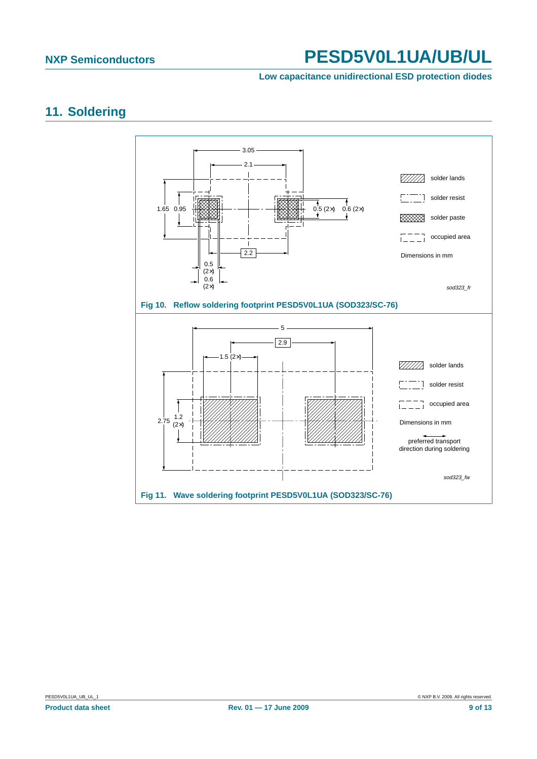#### **Low capacitance unidirectional ESD protection diodes**

# <span id="page-8-0"></span>**11. Soldering**

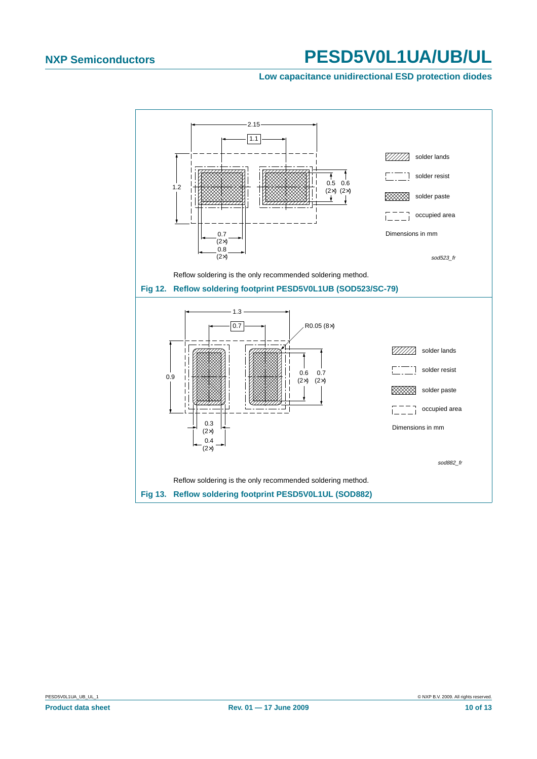#### **Low capacitance unidirectional ESD protection diodes**

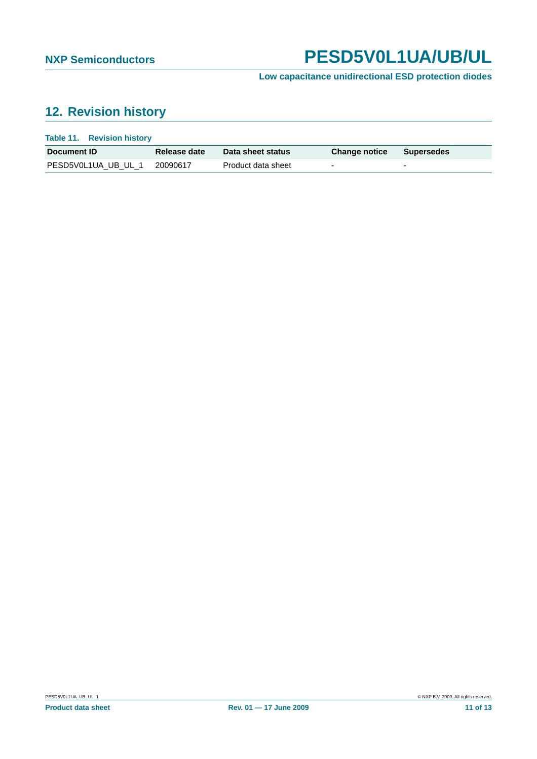### **Low capacitance unidirectional ESD protection diodes**

# <span id="page-10-0"></span>**12. Revision history**

| <b>Table 11. Revision history</b> |              |                    |                      |            |
|-----------------------------------|--------------|--------------------|----------------------|------------|
| <b>Document ID</b>                | Release date | Data sheet status  | <b>Change notice</b> | Supersedes |
| PESD5V0L1UA UB UL 1               | 20090617     | Product data sheet | -                    |            |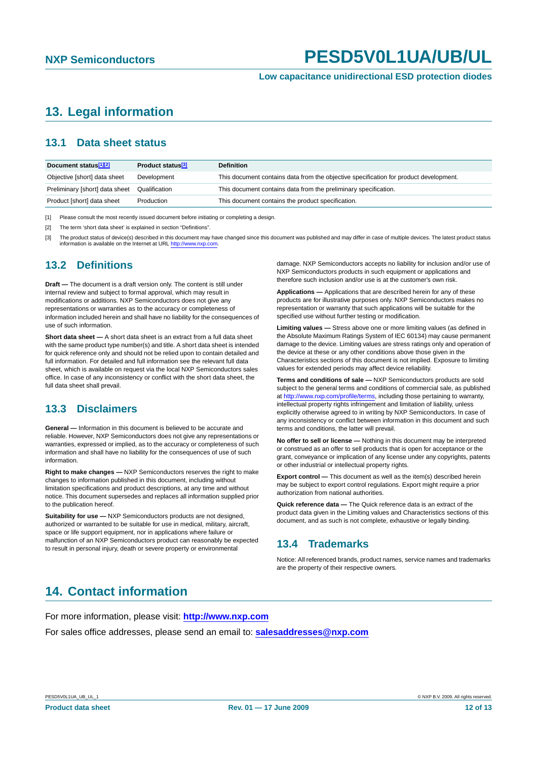# <span id="page-11-1"></span>**13. Legal information**

### <span id="page-11-2"></span>**13.1 Data sheet status**

| Document status <sup>[1][2]</sup> | Product status <sup>[3]</sup> | <b>Definition</b>                                                                     |
|-----------------------------------|-------------------------------|---------------------------------------------------------------------------------------|
| Objective [short] data sheet      | Development                   | This document contains data from the objective specification for product development. |
| Preliminary [short] data sheet    | Qualification                 | This document contains data from the preliminary specification.                       |
| Product [short] data sheet        | Production                    | This document contains the product specification.                                     |

[1] Please consult the most recently issued document before initiating or completing a design.

[2] The term 'short data sheet' is explained in section "Definitions".

[3] The product status of device(s) described in this document may have changed since this document was published and may differ in case of multiple devices. The latest product status information is available on the Internet at URL <http://www.nxp.com>.

#### <span id="page-11-3"></span>**13.2 Definitions**

**Draft —** The document is a draft version only. The content is still under internal review and subject to formal approval, which may result in modifications or additions. NXP Semiconductors does not give any representations or warranties as to the accuracy or completeness of information included herein and shall have no liability for the consequences of use of such information.

**Short data sheet —** A short data sheet is an extract from a full data sheet with the same product type number(s) and title. A short data sheet is intended for quick reference only and should not be relied upon to contain detailed and full information. For detailed and full information see the relevant full data sheet, which is available on request via the local NXP Semiconductors sales office. In case of any inconsistency or conflict with the short data sheet, the full data sheet shall prevail.

### <span id="page-11-4"></span>**13.3 Disclaimers**

**General —** Information in this document is believed to be accurate and reliable. However, NXP Semiconductors does not give any representations or warranties, expressed or implied, as to the accuracy or completeness of such information and shall have no liability for the consequences of use of such information.

**Right to make changes —** NXP Semiconductors reserves the right to make changes to information published in this document, including without limitation specifications and product descriptions, at any time and without notice. This document supersedes and replaces all information supplied prior to the publication hereof.

**Suitability for use - NXP Semiconductors products are not designed,** authorized or warranted to be suitable for use in medical, military, aircraft, space or life support equipment, nor in applications where failure or malfunction of an NXP Semiconductors product can reasonably be expected to result in personal injury, death or severe property or environmental

damage. NXP Semiconductors accepts no liability for inclusion and/or use of NXP Semiconductors products in such equipment or applications and therefore such inclusion and/or use is at the customer's own risk.

**Applications —** Applications that are described herein for any of these products are for illustrative purposes only. NXP Semiconductors makes no representation or warranty that such applications will be suitable for the specified use without further testing or modification.

**Limiting values —** Stress above one or more limiting values (as defined in the Absolute Maximum Ratings System of IEC 60134) may cause permanent damage to the device. Limiting values are stress ratings only and operation of the device at these or any other conditions above those given in the Characteristics sections of this document is not implied. Exposure to limiting values for extended periods may affect device reliability.

**Terms and conditions of sale —** NXP Semiconductors products are sold subject to the general terms and conditions of commercial sale, as published at <http://www.nxp.com/profile/terms>, including those pertaining to warranty, intellectual property rights infringement and limitation of liability, unless explicitly otherwise agreed to in writing by NXP Semiconductors. In case of any inconsistency or conflict between information in this document and such terms and conditions, the latter will prevail.

**No offer to sell or license —** Nothing in this document may be interpreted or construed as an offer to sell products that is open for acceptance or the grant, conveyance or implication of any license under any copyrights, patents or other industrial or intellectual property rights.

**Export control —** This document as well as the item(s) described herein may be subject to export control regulations. Export might require a prior authorization from national authorities.

**Quick reference data —** The Quick reference data is an extract of the product data given in the Limiting values and Characteristics sections of this document, and as such is not complete, exhaustive or legally binding.

#### <span id="page-11-5"></span>**13.4 Trademarks**

Notice: All referenced brands, product names, service names and trademarks are the property of their respective owners.

# <span id="page-11-0"></span>**14. Contact information**

For more information, please visit: **http://www.nxp.com**

For sales office addresses, please send an email to: **salesaddresses@nxp.com**